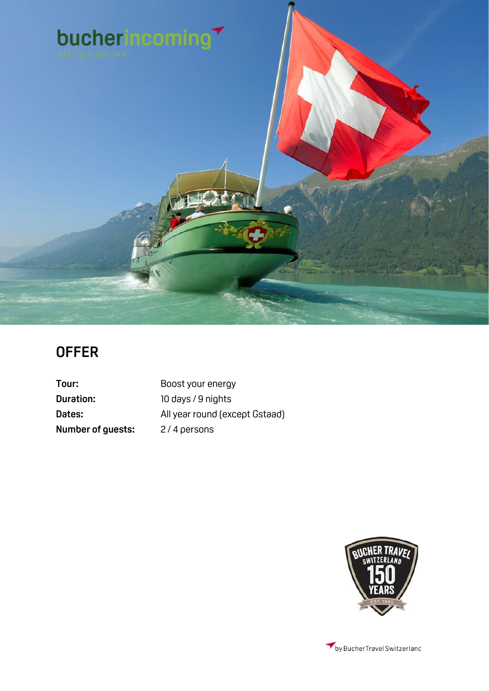

# **OFFER**

**Duration:** 10 days / 9 nights **Number of guests:** 2/4 persons

Tour: Boost your energy Dates: All year round (except Gstaad)

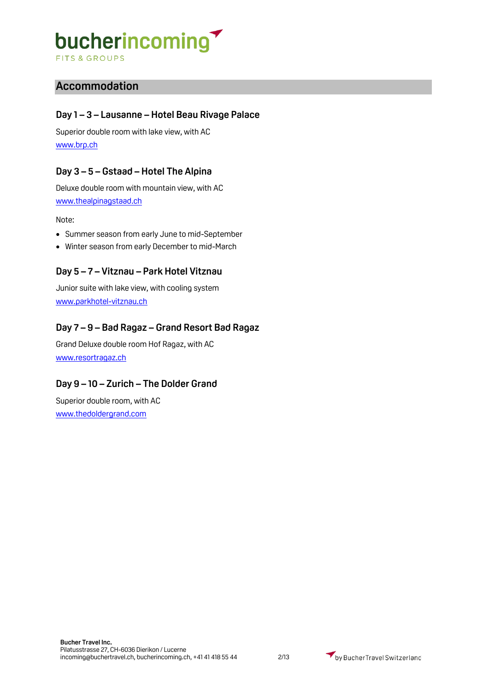**FITS & GROUPS** 

# **Accommodation**

### **Day 1 – 3 – Lausanne – Hotel Beau Rivage Palace**

Superior double room with lake view, with AC [www.brp.ch](http://www.brp.ch/)

### **Day 3 – 5 – Gstaad – Hotel The Alpina**

Deluxe double room with mountain view, with AC [www.thealpinagstaad.ch](http://www.thealpinagstaad.ch/)

Note:

- Summer season from early June to mid-September
- Winter season from early December to mid-March

### **Day 5 – 7 – Vitznau – Park Hotel Vitznau**

Junior suite with lake view, with cooling system [www.parkhotel-vitznau.ch](http://www.parkhotel-vitznau.ch/)

## **Day 7 – 9 – Bad Ragaz – Grand Resort Bad Ragaz**

Grand Deluxe double room Hof Ragaz, with AC [www.resortragaz.ch](http://www.resortragaz.ch/)

## **Day 9 – 10 – Zurich – The Dolder Grand**

Superior double room, with AC [www.thedoldergrand.com](http://www.thedoldergrand.com/)

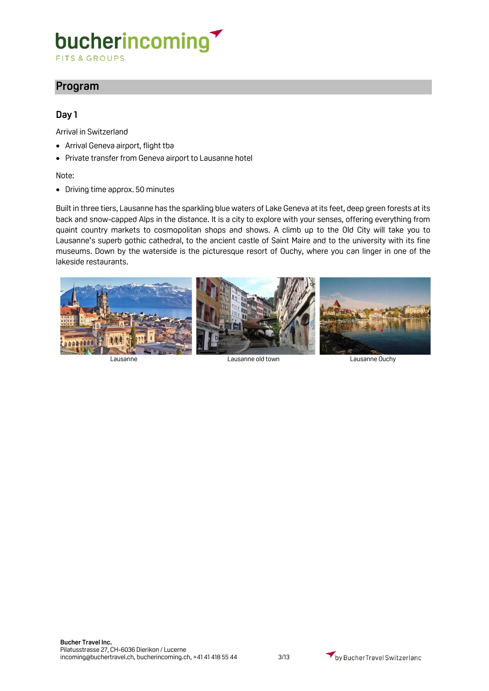FITS & GROUPS

# **Program**

### **Day 1**

Arrival in Switzerland

- Arrival Geneva airport, flight tba
- Private transfer from Geneva airport to Lausanne hotel

#### Note:

• Driving time approx. 50 minutes

Built in three tiers, Lausanne has the sparkling blue waters of Lake Geneva at its feet, deep green forests at its back and snow-capped Alps in the distance. It is a city to explore with your senses, offering everything from quaint country markets to cosmopolitan shops and shows. A climb up to the Old City will take you to Lausanne's superb gothic cathedral, to the ancient castle of Saint Maire and to the university with its fine museums. Down by the waterside is the picturesque resort of Ouchy, where you can linger in one of the lakeside restaurants.



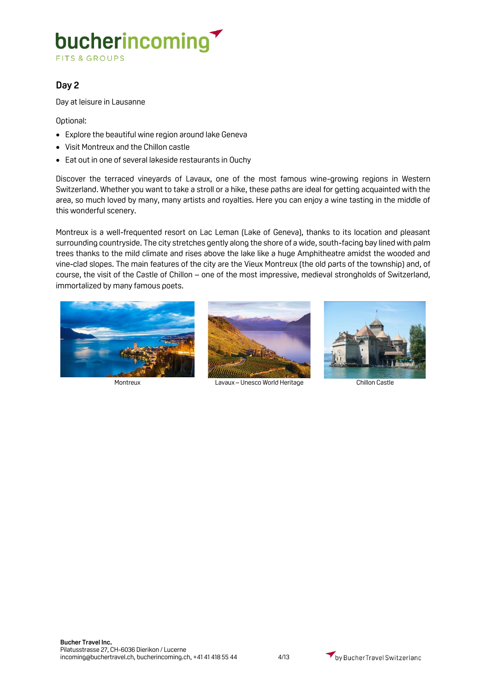**FITS & GROUPS** 

### **Day 2**

Day at leisure in Lausanne

Optional:

- Explore the beautiful wine region around lake Geneva
- Visit Montreux and the Chillon castle
- Eat out in one of several lakeside restaurants in Ouchy

Discover the terraced vineyards of Lavaux, one of the most famous wine-growing regions in Western Switzerland. Whether you want to take a stroll or a hike, these paths are ideal for getting acquainted with the area, so much loved by many, many artists and royalties. Here you can enjoy a wine tasting in the middle of this wonderful scenery.

Montreux is a well-frequented resort on Lac Leman (Lake of Geneva), thanks to its location and pleasant surrounding countryside. The city stretches gently along the shore of a wide, south-facing bay lined with palm trees thanks to the mild climate and rises above the lake like a huge Amphitheatre amidst the wooded and vine-clad slopes. The main features of the city are the Vieux Montreux (the old parts of the township) and, of course, the visit of the Castle of Chillon – one of the most impressive, medieval strongholds of Switzerland, immortalized by many famous poets.





Montreux Lavaux – Unesco World Heritage Chillon Castle



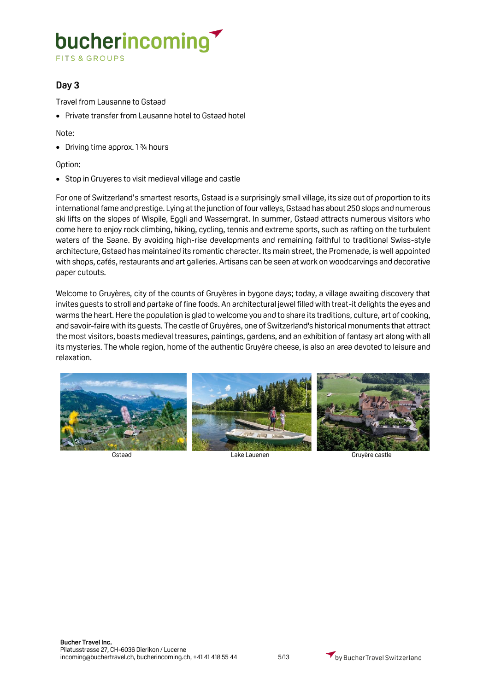**FITS & GROUPS** 

### **Day 3**

Travel from Lausanne to Gstaad

• Private transfer from Lausanne hotel to Gstaad hotel

Note:

• Driving time approx. 1 3/4 hours

#### Option:

• Stop in Gruyeres to visit medieval village and castle

For one of Switzerland's smartest resorts, Gstaad is a surprisingly small village, its size out of proportion to its international fame and prestige. Lying at the junction of four valleys, Gstaad has about 250 slops and numerous ski lifts on the slopes of Wispile, Eggli and Wasserngrat. In summer, Gstaad attracts numerous visitors who come here to enjoy rock climbing, hiking, cycling, tennis and extreme sports, such as rafting on the turbulent waters of the Saane. By avoiding high-rise developments and remaining faithful to traditional Swiss-style architecture, Gstaad has maintained its romantic character. Its main street, the Promenade, is well appointed with shops, cafés, restaurants and art galleries. Artisans can be seen at work on woodcarvings and decorative paper cutouts.

Welcome to Gruyères, city of the counts of Gruyères in bygone days; today, a village awaiting discovery that invites guests to stroll and partake of fine foods. An architectural jewel filled with treat-it delights the eyes and warms the heart. Here the population is glad to welcome you and to share its traditions, culture, art of cooking, and savoir-faire with its guests. The castle of Gruyères, one of Switzerland's historical monuments that attract the most visitors, boasts medieval treasures, paintings, gardens, and an exhibition of fantasy art along with all its mysteries. The whole region, home of the authentic Gruyère cheese, is also an area devoted to leisure and relaxation.



Gstaad Lake Lauenen Gruyère castle

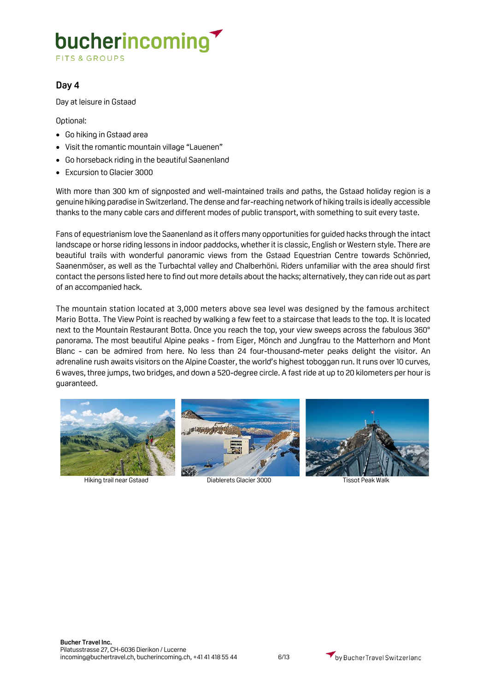**FITS & GROUPS** 

### **Day 4**

Day at leisure in Gstaad

Optional:

- Go hiking in Gstaad area
- Visit the romantic mountain village "Lauenen"
- Go horseback riding in the beautiful Saanenland
- Excursion to Glacier 3000

With more than 300 km of signposted and well-maintained trails and paths, the Gstaad holiday region is a genuine hiking paradise in Switzerland. The dense and far-reaching network of hiking trails is ideally accessible thanks to the many cable cars and different modes of public transport, with something to suit every taste.

Fans of equestrianism love the Saanenland as it offers many opportunities for guided hacks through the intact landscape or horse riding lessons in indoor paddocks, whether it is classic, English or Western style. There are beautiful trails with wonderful panoramic views from the Gstaad Equestrian Centre towards Schönried, Saanenmöser, as well as the Turbachtal valley and Chalberhöni. Riders unfamiliar with the area should first contact the persons listed here to find out more details about the hacks; alternatively, they can ride out as part of an accompanied hack.

The mountain station located at 3,000 meters above sea level was designed by the famous architect Mario Botta. The View Point is reached by walking a few feet to a staircase that leads to the top. It is located next to the Mountain Restaurant Botta. Once you reach the top, your view sweeps across the fabulous 360° panorama. The most beautiful Alpine peaks - from Eiger, Mönch and Jungfrau to the Matterhorn and Mont Blanc - can be admired from here. No less than 24 four-thousand-meter peaks delight the visitor. An adrenaline rush awaits visitors on the Alpine Coaster, the world's highest toboggan run. It runs over 10 curves, 6 waves, three jumps, two bridges, and down a 520-degree circle. A fast ride at up to 20 kilometers per hour is guaranteed.





Hiking trail near Gstaad Diablerets Glacier 3000 Tissot Peak Walk

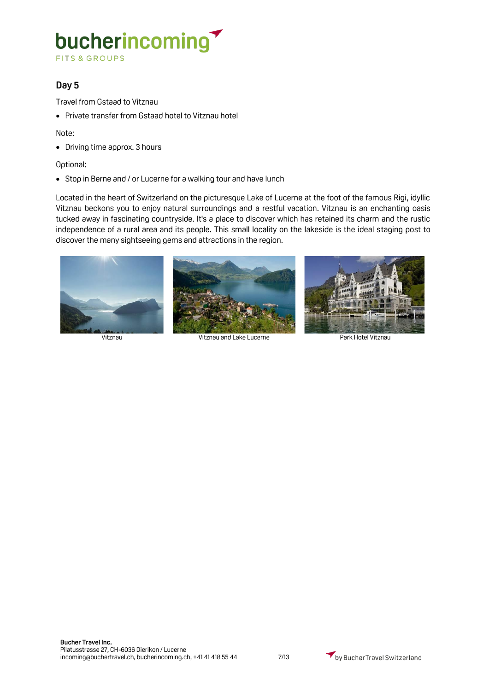**FITS & GROUPS** 

## **Day 5**

Travel from Gstaad to Vitznau

• Private transfer from Gstaad hotel to Vitznau hotel

Note:

• Driving time approx. 3 hours

#### Optional:

• Stop in Berne and / or Lucerne for a walking tour and have lunch

Located in the heart of Switzerland on the picturesque Lake of Lucerne at the foot of the famous Rigi, idyllic Vitznau beckons you to enjoy natural surroundings and a restful vacation. Vitznau is an enchanting oasis tucked away in fascinating countryside. It's a place to discover which has retained its charm and the rustic independence of a rural area and its people. This small locality on the lakeside is the ideal staging post to discover the many sightseeing gems and attractions in the region.



Vitznau Vitznau and Lake Lucerne Park Hotel Vitznau

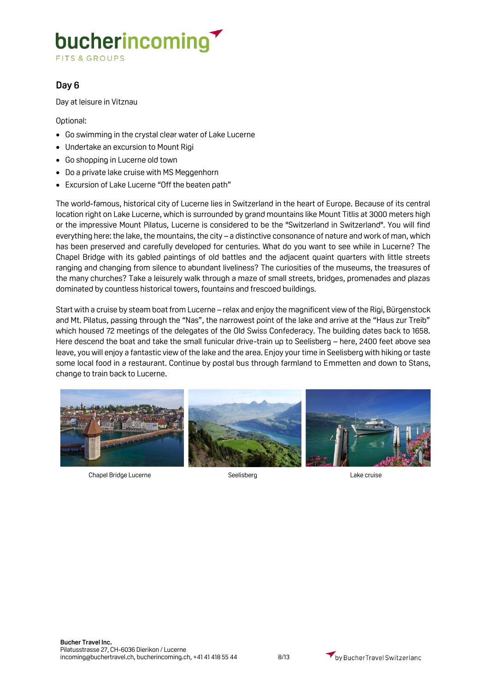**FITS & GROUPS** 

### **Day 6**

Day at leisure in Vitznau

Optional:

- Go swimming in the crystal clear water of Lake Lucerne
- Undertake an excursion to Mount Rigi
- Go shopping in Lucerne old town
- Do a private lake cruise with MS Meggenhorn
- Excursion of Lake Lucerne "Off the beaten path"

The world-famous, historical city of Lucerne lies in Switzerland in the heart of Europe. Because of its central location right on Lake Lucerne, which is surrounded by grand mountains like Mount Titlis at 3000 meters high or the impressive Mount Pilatus, Lucerne is considered to be the "Switzerland in Switzerland". You will find everything here: the lake, the mountains, the city – a distinctive consonance of nature and work of man, which has been preserved and carefully developed for centuries. What do you want to see while in Lucerne? The Chapel Bridge with its gabled paintings of old battles and the adjacent quaint quarters with little streets ranging and changing from silence to abundant liveliness? The curiosities of the museums, the treasures of the many churches? Take a leisurely walk through a maze of small streets, bridges, promenades and plazas dominated by countless historical towers, fountains and frescoed buildings.

Start with a cruise by steam boat from Lucerne – relax and enjoy the magnificent view of the Rigi, Bürgenstock and Mt. Pilatus, passing through the "Nas", the narrowest point of the lake and arrive at the "Haus zur Treib" which housed 72 meetings of the delegates of the Old Swiss Confederacy. The building dates back to 1658. Here descend the boat and take the small funicular drive-train up to Seelisberg – here, 2400 feet above sea leave, you will enjoy a fantastic view of the lake and the area. Enjoy your time in Seelisberg with hiking or taste some local food in a restaurant. Continue by postal bus through farmland to Emmetten and down to Stans, change to train back to Lucerne.



Chapel Bridge Lucerne The Seelisberg Chapel Bridge Lake cruise

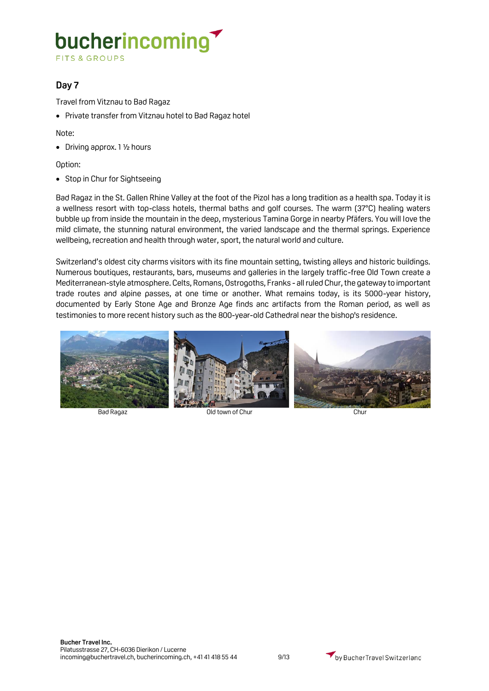**FITS & GROUPS** 

## **Day 7**

Travel from Vitznau to Bad Ragaz

• Private transfer from Vitznau hotel to Bad Ragaz hotel

Note:

• Driving approx. 1 ½ hours

Option:

• Stop in Chur for Sightseeing

Bad Ragaz in the St. Gallen Rhine Valley at the foot of the Pizol has a long tradition as a health spa. Today it is a wellness resort with top-class hotels, thermal baths and golf courses. The warm (37°C) healing waters bubble up from inside the mountain in the deep, mysterious Tamina Gorge in nearby Pfäfers. You will love the mild climate, the stunning natural environment, the varied landscape and the thermal springs. Experience wellbeing, recreation and health through water, sport, the natural world and culture.

Switzerland's oldest city charms visitors with its fine mountain setting, twisting alleys and historic buildings. Numerous boutiques, restaurants, bars, museums and galleries in the largely traffic-free Old Town create a Mediterranean-style atmosphere. Celts, Romans, Ostrogoths, Franks - all ruled Chur, the gateway to important trade routes and alpine passes, at one time or another. What remains today, is its 5000-year history, documented by Early Stone Age and Bronze Age finds anc artifacts from the Roman period, as well as testimonies to more recent history such as the 800-year-old Cathedral near the bishop's residence.



Bad Ragaz Old town of Chur Chur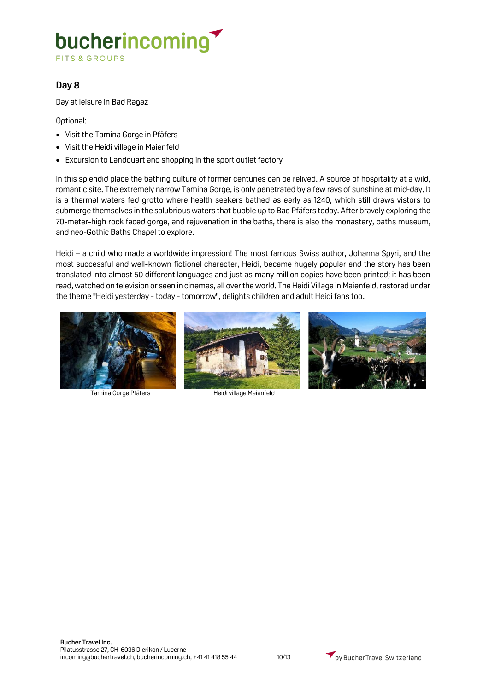**FITS & GROUPS** 

### **Day 8**

Day at leisure in Bad Ragaz

Optional:

- Visit the Tamina Gorge in Pfäfers
- Visit the Heidi village in Maienfeld
- Excursion to Landquart and shopping in the sport outlet factory

In this splendid place the bathing culture of former centuries can be relived. A source of hospitality at a wild, romantic site. The extremely narrow Tamina Gorge, is only penetrated by a few rays of sunshine at mid-day. It is a thermal waters fed grotto where health seekers bathed as early as 1240, which still draws vistors to submerge themselves in the salubrious waters that bubble up to Bad Pfäfers today. After bravely exploring the 70-meter-high rock faced gorge, and rejuvenation in the baths, there is also the monastery, baths museum, and neo-Gothic Baths Chapel to explore.

Heidi – a child who made a worldwide impression! The most famous Swiss author, Johanna Spyri, and the most successful and well-known fictional character, Heidi, became hugely popular and the story has been translated into almost 50 different languages and just as many million copies have been printed; it has been read, watched on television or seen in cinemas, all over the world. The Heidi Village in Maienfeld, restored under the theme "Heidi yesterday - today - tomorrow", delights children and adult Heidi fans too.



Tamina Gorge Pfäfers **Heidi village Maienfeld** 

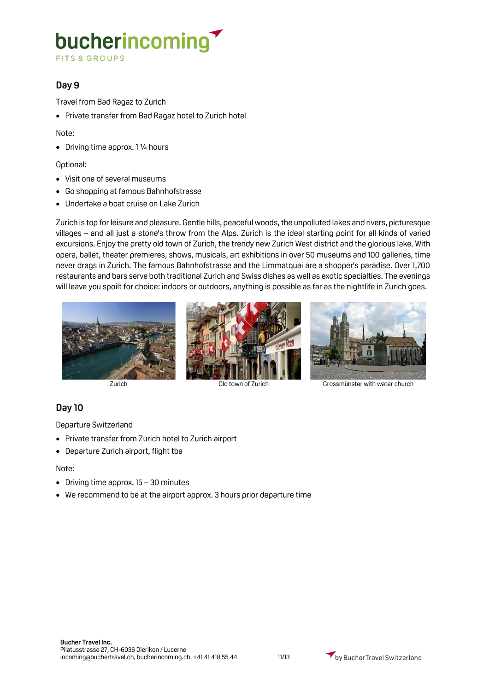**FITS & GROUPS** 

## **Day 9**

Travel from Bad Ragaz to Zurich

• Private transfer from Bad Ragaz hotel to Zurich hotel

Note:

• Driving time approx. 1 ¼ hours

#### Optional:

- Visit one of several museums
- Go shopping at famous Bahnhofstrasse
- Undertake a boat cruise on Lake Zurich

Zurich is top for leisure and pleasure. Gentle hills, peaceful woods, the unpolluted lakes and rivers, picturesque villages – and all just a stone's throw from the Alps. Zurich is the ideal starting point for all kinds of varied excursions. Enjoy the pretty old town of Zurich, the trendy new Zurich West district and the glorious lake. With opera, ballet, theater premieres, shows, musicals, art exhibitions in over 50 museums and 100 galleries, time never drags in Zurich. The famous Bahnhofstrasse and the Limmatquai are a shopper's paradise. Over 1,700 restaurants and bars serve both traditional Zurich and Swiss dishes as well as exotic specialties. The evenings will leave you spoilt for choice: indoors or outdoors, anything is possible as far as the nightlife in Zurich goes.







Zurich Old town of Zurich Grossmünster with water church

## **Day 10**

Departure Switzerland

- Private transfer from Zurich hotel to Zurich airport
- Departure Zurich airport, flight tba

#### Note:

- Driving time approx. 15 30 minutes
- We recommend to be at the airport approx. 3 hours prior departure time

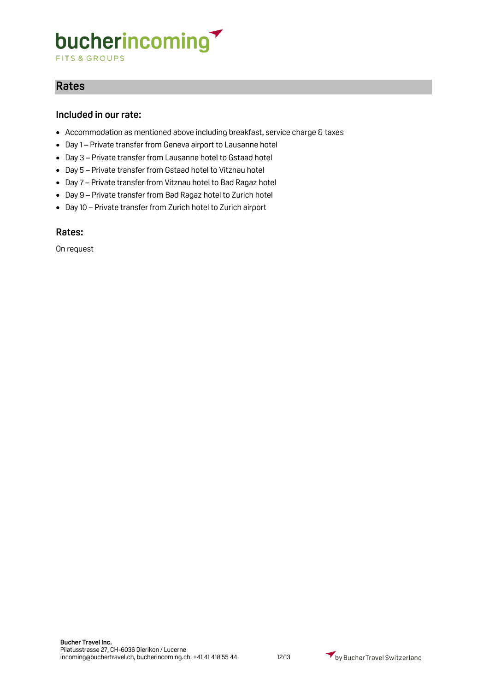**FITS & GROUPS** 

# **Rates**

#### **Included in our rate:**

- Accommodation as mentioned above including breakfast, service charge & taxes
- Day 1 Private transfer from Geneva airport to Lausanne hotel
- Day 3 Private transfer from Lausanne hotel to Gstaad hotel
- Day 5 Private transfer from Gstaad hotel to Vitznau hotel
- Day 7 Private transfer from Vitznau hotel to Bad Ragaz hotel
- Day 9 Private transfer from Bad Ragaz hotel to Zurich hotel
- Day 10 Private transfer from Zurich hotel to Zurich airport

#### **Rates:**

On request